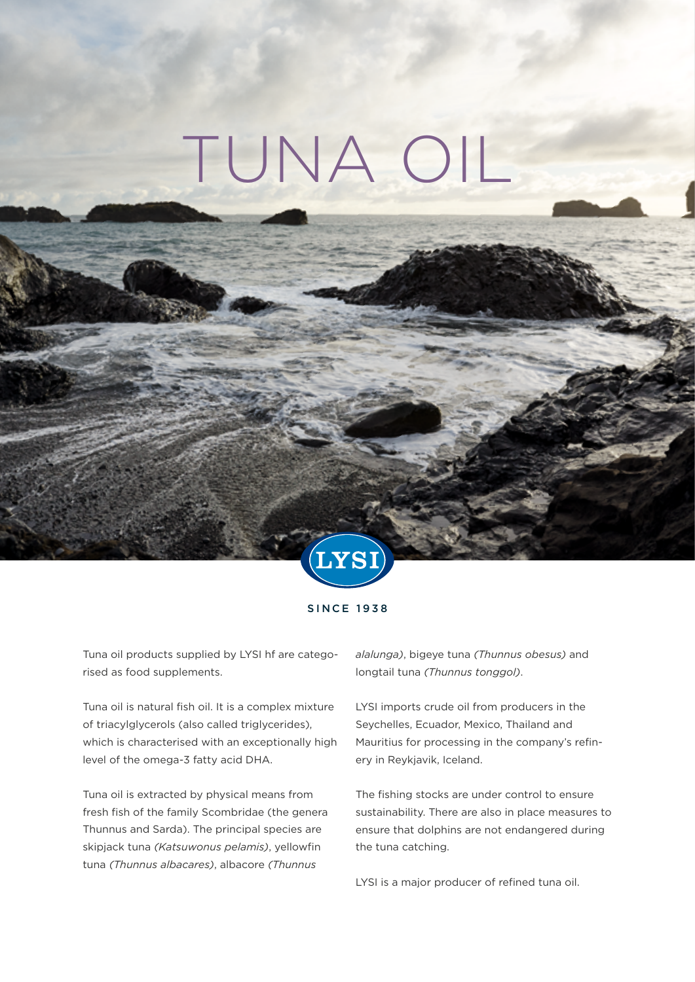# TUNA OIL



SINCE 1938

Tuna oil products supplied by LYSI hf are categorised as food supplements.

Tuna oil is natural fish oil. It is a complex mixture of triacylglycerols (also called triglycerides), which is characterised with an exceptionally high level of the omega-3 fatty acid DHA.

Tuna oil is extracted by physical means from fresh fish of the family Scombridae (the genera Thunnus and Sarda). The principal species are skipjack tuna *(Katsuwonus pelamis)*, yellowfin tuna *(Thunnus albacares)*, albacore *(Thunnus* 

*alalunga)*, bigeye tuna *(Thunnus obesus)* and longtail tuna *(Thunnus tonggol)*.

LYSI imports crude oil from producers in the Seychelles, Ecuador, Mexico, Thailand and Mauritius for processing in the company's refinery in Reykjavik, Iceland.

The fishing stocks are under control to ensure sustainability. There are also in place measures to ensure that dolphins are not endangered during the tuna catching.

LYSI is a major producer of refined tuna oil.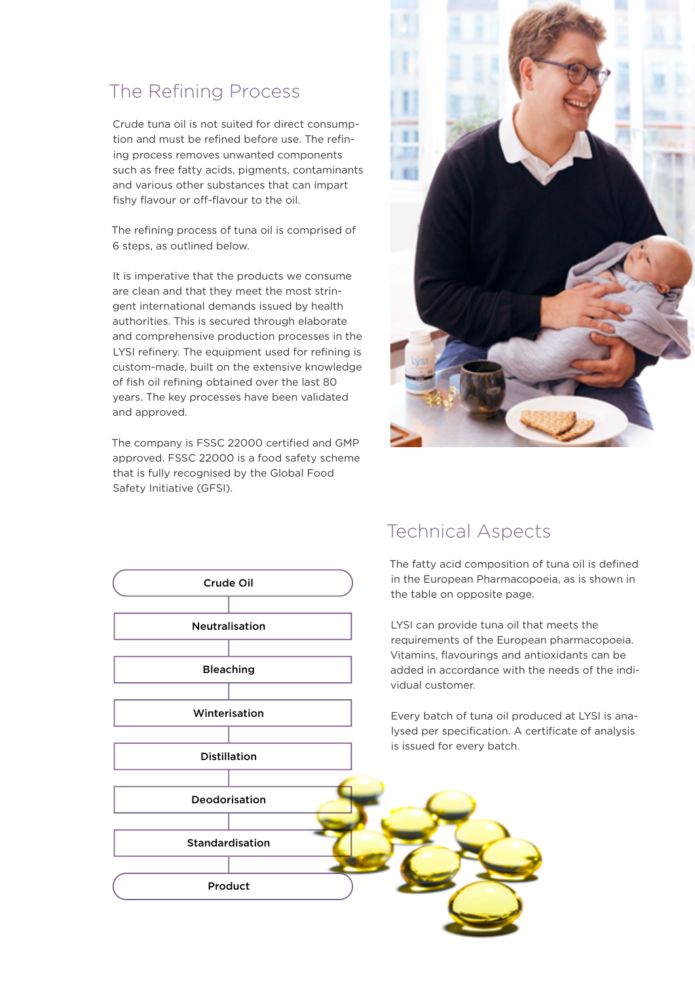## The Refining Process

Crude tuna oil is not suited for direct consumption and must be refined before use. The refining process removes unwanted components such as free fatty acids, pigments, contaminants and various other substances that can impart fishy flavour or off-flavour to the oil.

The refining process of tuna oil is comprised of 6 steps, as outlined below.

It is imperative that the products we consume are clean and that they meet the most stringent international demands issued by health authorities. This is secured through elaborate and comprehensive production processes in the LYSI refinery. The equipment used for refining is custom-made, built on the extensive knowledge of fish oil refining obtained over the last 80 years. The key processes have been validated and approved.

The company is FSSC 22000 certified and GMP approved. FSSC 22000 is a food safety scheme that is fully recognised by the Global Food Safety Initiative (GFSI).





#### Technical Aspects

The fatty acid composition of tuna oil is defined in the European Pharmacopoeia, as is shown in the table on opposite page.

LYSI can provide tuna oil that meets the requirements of the European pharmacopoeia. Vitamins, flavourings and antioxidants can be added in accordance with the needs of the individual customer.

Every batch of tuna oil produced at LYSI is analysed per specification. A certificate of analysis is issued for every batch.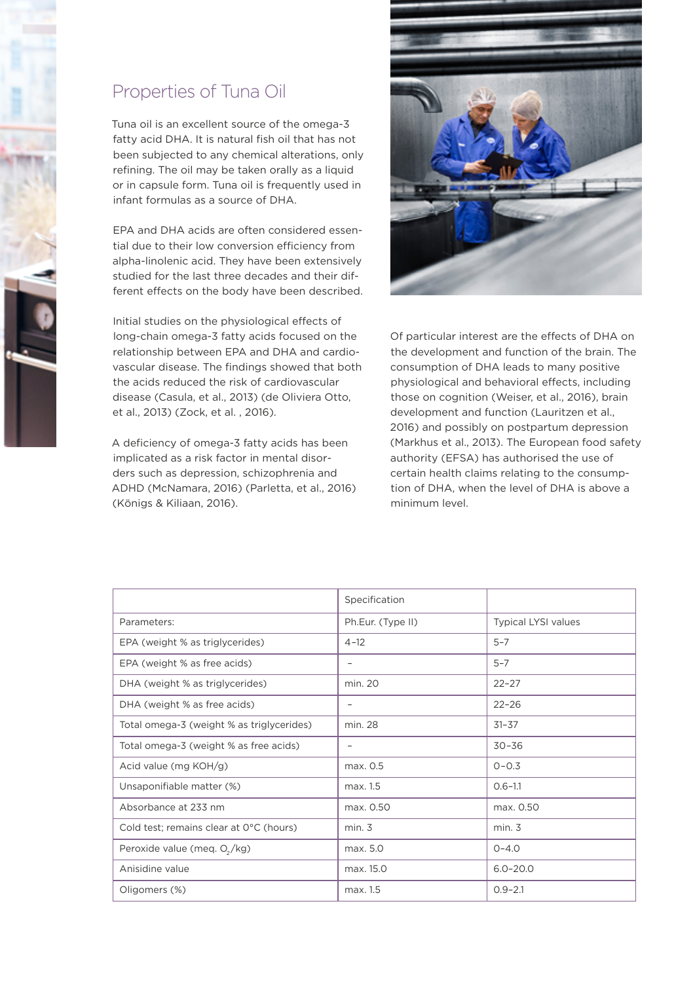## Properties of Tuna Oil

Tuna oil is an excellent source of the omega-3 fatty acid DHA. It is natural fish oil that has not been subjected to any chemical alterations, only refining. The oil may be taken orally as a liquid or in capsule form. Tuna oil is frequently used in infant formulas as a source of DHA.

EPA and DHA acids are often considered essential due to their low conversion efficiency from alpha-linolenic acid. They have been extensively studied for the last three decades and their different effects on the body have been described.

Initial studies on the physiological effects of long-chain omega-3 fatty acids focused on the relationship between EPA and DHA and cardiovascular disease. The findings showed that both the acids reduced the risk of cardiovascular disease (Casula, et al., 2013) (de Oliviera Otto, et al., 2013) (Zock, et al. , 2016).

A deficiency of omega-3 fatty acids has been implicated as a risk factor in mental disorders such as depression, schizophrenia and ADHD (McNamara, 2016) (Parletta, et al., 2016) (Königs & Kiliaan, 2016).



Of particular interest are the effects of DHA on the development and function of the brain. The consumption of DHA leads to many positive physiological and behavioral effects, including those on cognition (Weiser, et al., 2016), brain development and function (Lauritzen et al., 2016) and possibly on postpartum depression (Markhus et al., 2013). The European food safety authority (EFSA) has authorised the use of certain health claims relating to the consumption of DHA, when the level of DHA is above a minimum level.

|                                           | Specification            |                            |
|-------------------------------------------|--------------------------|----------------------------|
| Parameters:                               | Ph.Eur. (Type II)        | <b>Typical LYSI values</b> |
| EPA (weight % as triglycerides)           | $4 - 12$                 | $5 - 7$                    |
| EPA (weight % as free acids)              | $\overline{\phantom{0}}$ | $5 - 7$                    |
| DHA (weight % as triglycerides)           | min. 20                  | $22 - 27$                  |
| DHA (weight % as free acids)              | $\qquad \qquad -$        | $22 - 26$                  |
| Total omega-3 (weight % as triglycerides) | min. 28                  | $31 - 37$                  |
| Total omega-3 (weight % as free acids)    | -                        | $30 - 36$                  |
| Acid value (mg KOH/g)                     | max. 0.5                 | $0 - 0.3$                  |
| Unsaponifiable matter (%)                 | max. 1.5                 | $0.6 - 1.1$                |
| Absorbance at 233 nm                      | max. 0.50                | max. 0.50                  |
| Cold test; remains clear at 0°C (hours)   | min. 3                   | min. 3                     |
| Peroxide value (meq. O <sub>2</sub> /kg)  | max. 5.0                 | $0 - 4.0$                  |
| Anisidine value                           | max. 15.0                | $6.0 - 20.0$               |
| Oligomers (%)                             | max. 1.5                 | $0.9 - 2.1$                |